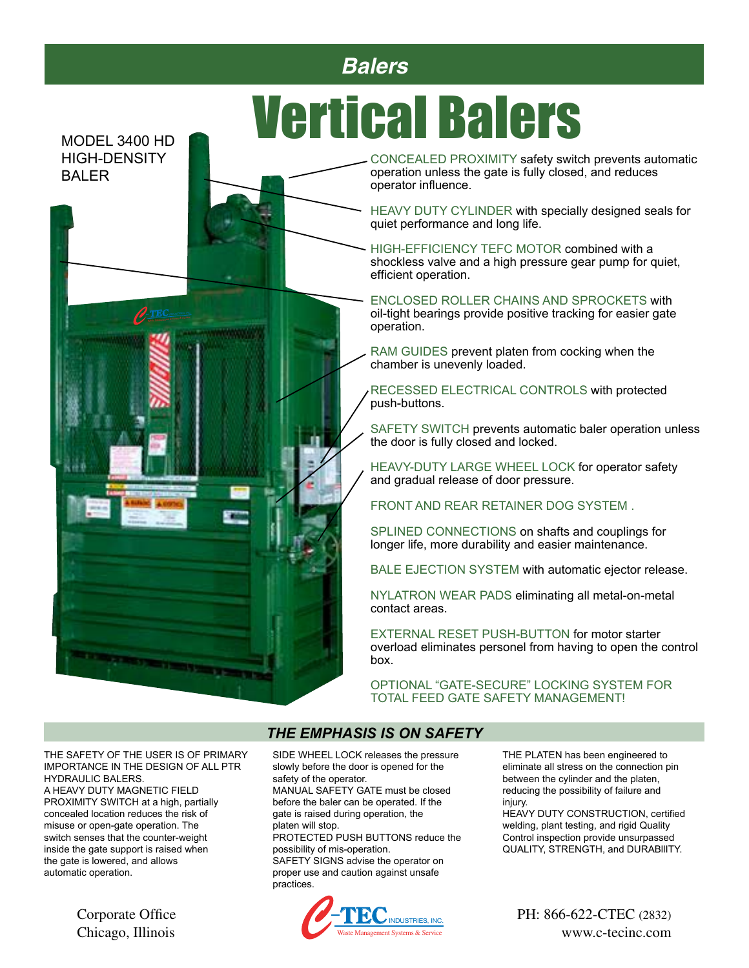# MODEL 3400 HD **Mertical Balers**

HIGH-DENSITY BALER



CONCEALED PROXIMITY safety switch prevents automatic operation unless the gate is fully closed, and reduces operator influence.

HEAVY DUTY CYLINDER with specially designed seals for quiet performance and long life.

HIGH-EFFICIENCY TEFC MOTOR combined with a shockless valve and a high pressure gear pump for quiet, efficient operation.

ENCLOSED ROLLER CHAINS AND SPROCKETS with oil-tight bearings provide positive tracking for easier gate operation.

RAM GUIDES prevent platen from cocking when the chamber is unevenly loaded.

RECESSED ELECTRICAL CONTROLS with protected push-buttons.

SAFETY SWITCH prevents automatic baler operation unless the door is fully closed and locked.

HEAVY-DUTY LARGE WHEEL LOCK for operator safety and gradual release of door pressure.

FRONT AND REAR RETAINER DOG SYSTEM .

SPLINED CONNECTIONS on shafts and couplings for longer life, more durability and easier maintenance.

BALE EJECTION SYSTEM with automatic ejector release.

NYLATRON WEAR PADS eliminating all metal-on-metal contact areas.

EXTERNAL RESET PUSH-BUTTON for motor starter overload eliminates personel from having to open the control box.

OPTIONAL "GATE-SECURE" LOCKING SYSTEM FOR TOTAL FEED GATE SAFETY MANAGEMENT!

THE SAFETY OF THE USER IS OF PRIMARY IMPORTANCE IN THE DESIGN OF ALL PTR HYDRAULIC BALERS.

A HEAVY DUTY MAGNETIC FIELD PROXIMITY SWITCH at a high, partially concealed location reduces the risk of misuse or open-gate operation. The switch senses that the counter-weight inside the gate support is raised when the gate is lowered, and allows automatic operation.

Chicago, Illinois

#### *THE EMPHASIS IS ON SAFETY*

SIDE WHEEL LOCK releases the pressure slowly before the door is opened for the safety of the operator.

MANUAL SAFETY GATE must be closed before the baler can be operated. If the gate is raised during operation, the platen will stop.

PROTECTED PUSH BUTTONS reduce the possibility of mis-operation. SAFETY SIGNS advise the operator on proper use and caution against unsafe practices.



THE PLATEN has been engineered to eliminate all stress on the connection pin between the cylinder and the platen, reducing the possibility of failure and injury.

HEAVY DUTY CONSTRUCTION, certified welding, plant testing, and rigid Quality Control inspection provide unsurpassed QUALITY, STRENGTH, and DURABllITY.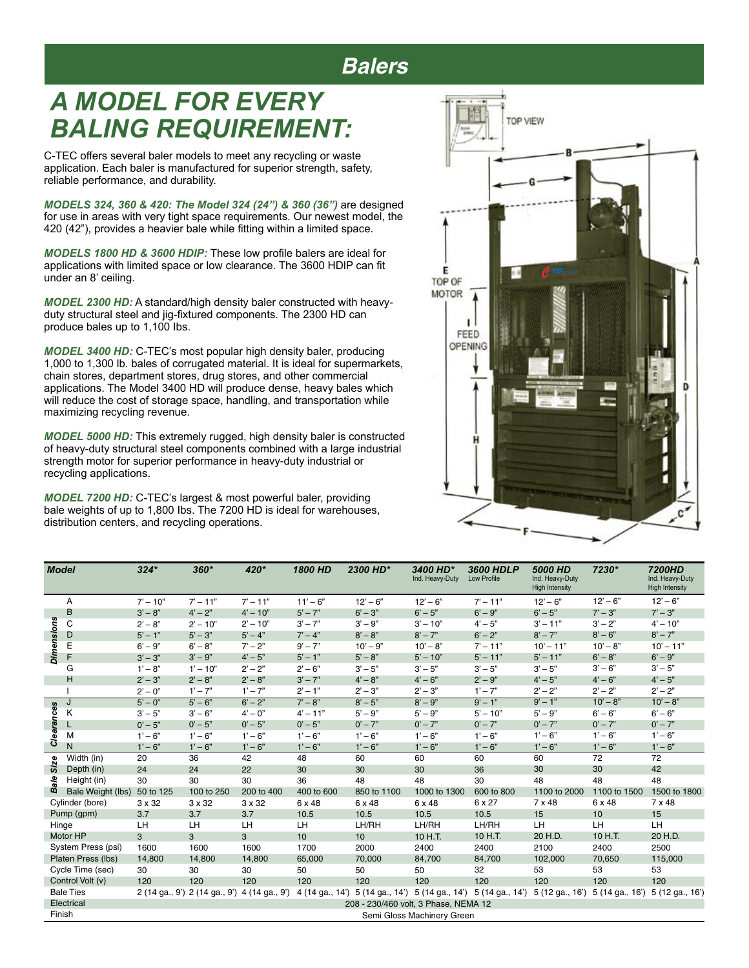## *A MODEL FOR EVERY BALING REQUIREMENT:*

C-TEC offers several baler models to meet any recycling or waste application. Each baler is manufactured for superior strength, safety, reliable performance, and durability.

*MODELS 324, 360 & 420: The Model 324 (24") & 360 (36")* are designed for use in areas with very tight space requirements. Our newest model, the 420 (42"), provides a heavier bale while fitting within a limited space.

*MODELS 1800 HD & 3600 HDlP:* These low profile balers are ideal for applications with limited space or low clearance. The 3600 HDlP can fit under an 8' ceiling.

*MODEL 2300 HD:* A standard/high density baler constructed with heavyduty structural steel and jig-fixtured components. The 2300 HD can produce bales up to 1,100 Ibs.

*MODEL 3400 HD:* C-TEC's most popular high density baler, producing 1,000 to 1,300 lb. bales of corrugated material. It is ideal for supermarkets, chain stores, department stores, drug stores, and other commercial applications. The Model 3400 HD will produce dense, heavy bales which will reduce the cost of storage space, handling, and transportation while maximizing recycling revenue.

*MODEL 5000 HD:* This extremely rugged, high density baler is constructed of heavy-duty structural steel components combined with a large industrial strength motor for superior performance in heavy-duty industrial or recycling applications.

*MODEL 7200 HD:* C-TEC's largest & most powerful baler, providing bale weights of up to 1,800 Ibs. The 7200 HD is ideal for warehouses, distribution centers, and recycling operations.

| 膃                                  | TOP VIEW      | B |       |
|------------------------------------|---------------|---|-------|
| Ε                                  | $\theta$ -TEC |   |       |
| TOP OF<br>MOTOR<br>FEED<br>OPENING | EB.           |   |       |
| Ĥ                                  |               |   | D     |
|                                    |               |   | $c^*$ |

| <b>Model</b>                                                 |                   | $324*$                               | $360*$                        | 420*           | <b>1800 HD</b> | 2300 HD*                        | 3400 HD*<br>Ind. Heavy-Duty | 3600 HDLP<br>Low Profile | 5000 HD<br>Ind. Heavy-Duty<br><b>High Intensity</b> | 7230*                                              | 7200HD<br>Ind. Heavy-Duty<br><b>High Intensity</b> |
|--------------------------------------------------------------|-------------------|--------------------------------------|-------------------------------|----------------|----------------|---------------------------------|-----------------------------|--------------------------|-----------------------------------------------------|----------------------------------------------------|----------------------------------------------------|
|                                                              | Α                 | $7' - 10''$                          | $7' - 11''$                   | $7' - 11''$    | $11' - 6"$     | $12 - 6$ "                      | $12 - 6$ "                  | $7' - 11''$              | $12 - 6$ "                                          | $12 - 6$ "                                         | $12 - 6$ "                                         |
|                                                              | B                 | $3' - 8''$                           | $4' - 2''$                    | $4' - 10''$    | $5' - 7"$      | $6' - 3"$                       | $6' - 5"$                   | $6' - 9''$               | $6' - 5"$                                           | $7' - 3''$                                         | $7' - 3''$                                         |
|                                                              | С                 | $2' - 8''$                           | $2' - 10''$                   | $2' - 10''$    | $3' - 7"$      | $3' - 9''$                      | $3' - 10''$                 | $4' - 5''$               | $3' - 11''$                                         | $3' - 2"$                                          | $4' - 10''$                                        |
|                                                              | D                 | $5' - 1"$                            | $5' - 3"$                     | $5' - 4"$      | $7' - 4"$      | $8' - 8''$                      | $8' - 7"$                   | $6' - 2"$                | $8' - 7"$                                           | $8' - 6"$                                          | $8' - 7"$                                          |
| <b>Dimensions</b>                                            | E                 | $6' - 9''$                           | $6' - 8''$                    | $7' - 2"$      | $9' - 7"$      | $10' - 9''$                     | $10' - 8"$                  | $7' - 11''$              | $10' - 11"$                                         | $10' - 8"$                                         | $10' - 11"$                                        |
|                                                              | F                 | $3' - 3''$                           | $3' - 9''$                    | $4' - 5''$     | $5' - 1"$      | $5' - 8"$                       | $5' - 10''$                 | $5' - 11"$               | $5' - 11"$                                          | $6' - 8"$                                          | $6' - 9''$                                         |
|                                                              | G                 | $1' - 8''$                           | $1' - 10''$                   | $2 - 2$        | $2' - 6''$     | $3' - 5"$                       | $3' - 5"$                   | $3' - 5"$                | $3' - 5"$                                           | $3' - 6"$                                          | $3' - 5''$                                         |
|                                                              | н                 | $2' - 3''$                           | $2' - 8''$                    | $2' - 8''$     | $3' - 7"$      | $4' - 8''$                      | $4' - 6"$                   | $2' - 9''$               | $4' - 5''$                                          | $4' - 6''$                                         | $4' - 5''$                                         |
|                                                              |                   | $2' - 0''$                           | $1' - 7''$                    | $1' - 7"$      | $2' - 1''$     | $2' - 3''$                      | $2' - 3''$                  | $1' - 7"$                | $2' - 2"$                                           | $2' - 2"$                                          | $2' - 2"$                                          |
|                                                              | J                 | $5' - 0''$                           | $5' - 6"$                     | $6' - 2"$      | $7' - 8''$     | $8' - 5"$                       | $8' - 9''$                  | $9' - 1''$               | $9' - 1''$                                          | $10' - 8"$                                         | $10' - 8"$                                         |
| <b>Clearances</b>                                            | κ                 | $3' - 5"$                            | $3' - 6"$                     | $4' - 0''$     | $4' - 11''$    | $5' - 9''$                      | $5' - 9''$                  | $5' - 10''$              | $5' - 9''$                                          | $6' - 6"$                                          | $6' - 6"$                                          |
|                                                              |                   | $0' - 5"$                            | $0' - 5"$                     | $0' - 5"$      | $0' - 5"$      | $0' - 7"$                       | $0' - 7"$                   | $0' - 7"$                | $0' - 7"$                                           | $0' - 7"$                                          | $0' - 7"$                                          |
|                                                              | M                 | $1' - 6"$                            | $1' - 6"$                     | $1' - 6"$      | $1' - 6"$      | $1' - 6"$                       | $1' - 6"$                   | $1' - 6"$                | $1' - 6"$                                           | $1' - 6"$                                          | $1' - 6"$                                          |
|                                                              | N                 | $1' - 6"$                            | $1' - 6"$                     | $1' - 6"$      | $1' - 6"$      | $1' - 6"$                       | $1' - 6"$                   | $1' - 6"$                | $1' - 6"$                                           | $1' - 6"$                                          | $1' - 6"$                                          |
| Size                                                         | Width (in)        | 20                                   | 36                            | 42             | 48             | 60                              | 60                          | 60                       | 60                                                  | 72                                                 | 72                                                 |
|                                                              | Depth (in)        | 24                                   | 24                            | 22             | 30             | 30                              | 30                          | 36                       | 30                                                  | 30                                                 | 42                                                 |
| နို                                                          | Height (in)       | 30                                   | 30                            | 30             | 36             | 48                              | 48                          | 30                       | 48                                                  | 48                                                 | 48                                                 |
| œ                                                            | Bale Weight (lbs) | 50 to 125                            | 100 to 250                    | 200 to 400     | 400 to 600     | 850 to 1100                     | 1000 to 1300                | 600 to 800               | 1100 to 2000                                        | 1100 to 1500                                       | 1500 to 1800                                       |
| Cylinder (bore)<br>Pump (gpm)                                |                   | 3 x 32                               | 3 x 32                        | 3 x 32         | 6 x 48         | 6 x 48                          | 6 x 48                      | 6 x 27                   | 7 x 48                                              | 6 x 48                                             | 7 x 48                                             |
|                                                              |                   | 3.7                                  | 3.7                           | 3.7            | 10.5           | 10.5                            | 10.5                        | 10.5                     | 15                                                  | 10                                                 | 15                                                 |
| Hinge                                                        |                   | <b>LH</b>                            | LH                            | LH             | LH.            | LH/RH                           | LH/RH                       | LH/RH                    | LH                                                  | LH                                                 | LH                                                 |
| Motor HP                                                     |                   | 3                                    | 3                             | 3              | 10             | 10                              | 10 H.T.                     | 10 H.T.                  | 20 H.D.                                             | 10 H.T.                                            | 20 H.D.                                            |
| System Press (psi)<br>Platen Press (lbs)<br>Cycle Time (sec) |                   | 1600                                 | 1600                          | 1600           | 1700           | 2000                            | 2400                        | 2400                     | 2100                                                | 2400                                               | 2500                                               |
|                                                              |                   | 14,800                               | 14,800                        | 14,800         | 65,000         | 70,000                          | 84,700                      | 84,700                   | 102,000                                             | 70,650                                             | 115,000                                            |
|                                                              |                   | 30                                   | 30                            | 30             | 50             | 50                              | 50                          | 32                       | 53                                                  | 53                                                 | 53                                                 |
| Control Volt (v)                                             |                   | 120                                  | 120                           | 120            | 120            | 120                             | 120                         | 120                      | 120                                                 | 120                                                | 120                                                |
| <b>Bale Ties</b>                                             |                   |                                      | 2 (14 ga., 9') 2 (14 ga., 9') | 4 (14 ga., 9') |                | 4 (14 ga., 14') 5 (14 ga., 14') | 5 (14 ga., 14')             | 5 (14 ga., 14')          |                                                     | $5(12 \text{ ga.}, 16')$ 5 $(14 \text{ ga.}, 16')$ | 5 (12 ga., 16')                                    |
|                                                              | Electrical        | 208 - 230/460 volt, 3 Phase, NEMA 12 |                               |                |                |                                 |                             |                          |                                                     |                                                    |                                                    |
| Finish                                                       |                   | Semi Gloss Machinery Green           |                               |                |                |                                 |                             |                          |                                                     |                                                    |                                                    |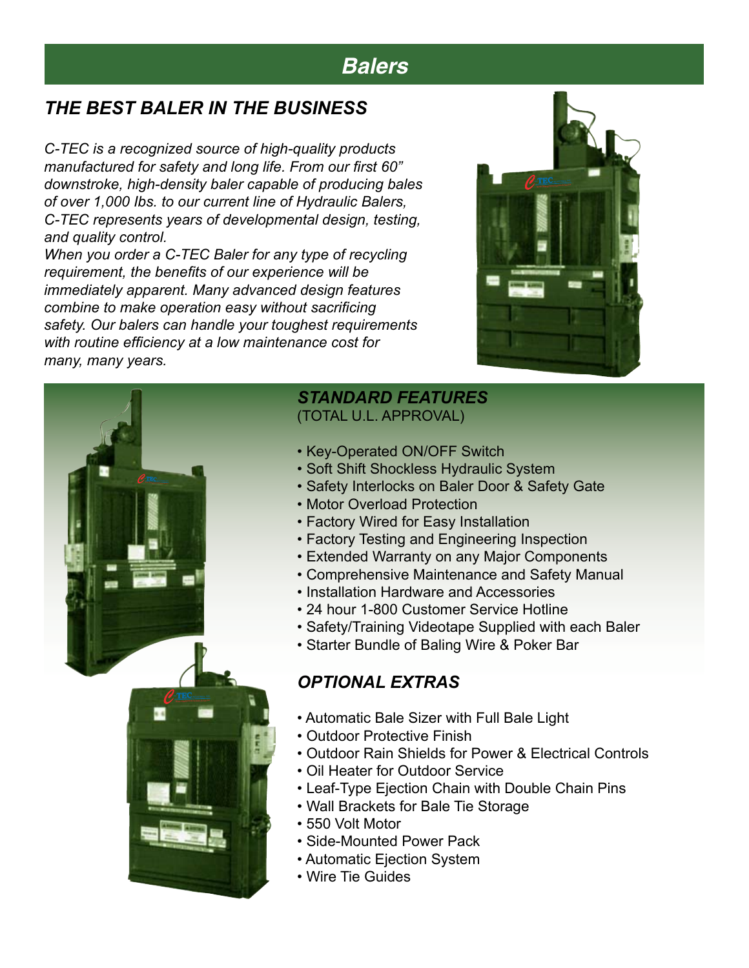### *THE BEST BALER IN THE BUSINESS*

*C-TEC is a recognized source of high-quality products manufactured for safety and long life. From our first 60" downstroke, high-density baler capable of producing bales of over 1,000 Ibs. to our current line of Hydraulic Balers, C-TEC represents years of developmental design, testing, and quality control.*

*When you order a C-TEC Baler for any type of recycling requirement, the benefits of our experience will be immediately apparent. Many advanced design features combine to make operation easy without sacrificing safety. Our balers can handle your toughest requirements with routine efficiency at a low maintenance cost for many, many years.*





#### *STANDARD FEATURES*

(TOTAL U.L. APPROVAL)

- Key-Operated ON/OFF Switch
- Soft Shift Shockless Hydraulic System
- Safety Interlocks on Baler Door & Safety Gate
- Motor Overload Protection
- Factory Wired for Easy Installation
- Factory Testing and Engineering Inspection
- Extended Warranty on any Major Components
- Comprehensive Maintenance and Safety Manual
- Installation Hardware and Accessories
- 24 hour 1-800 Customer Service Hotline
- Safety/Training Videotape Supplied with each Baler
- Starter Bundle of Baling Wire & Poker Bar

#### *OPTIONAL EXTRAS*

- Automatic Bale Sizer with Full Bale Light
- Outdoor Protective Finish
- Outdoor Rain Shields for Power & Electrical Controls
- Oil Heater for Outdoor Service
- Leaf-Type Ejection Chain with Double Chain Pins
- Wall Brackets for Bale Tie Storage
- 550 Volt Motor
- Side-Mounted Power Pack
- Automatic Ejection System
- Wire Tie Guides